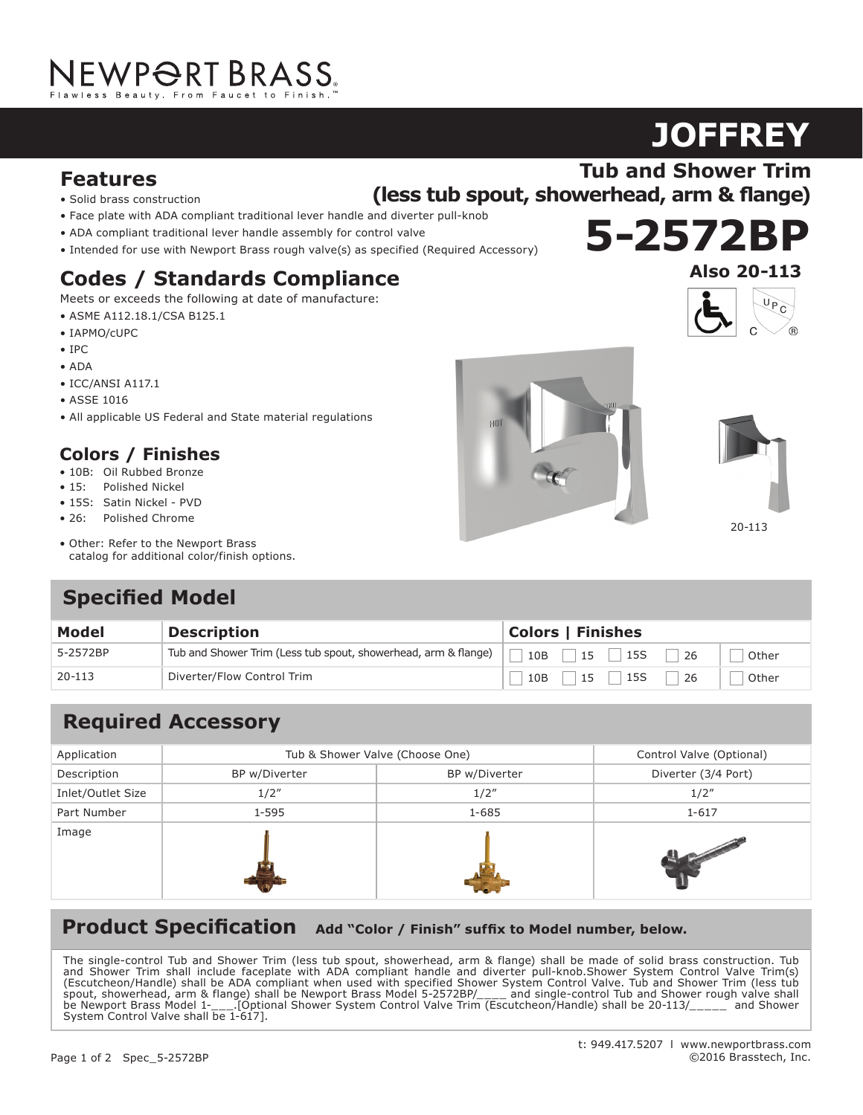# NEWPORT BRASS.

# **Features**

- Solid brass construction
- Face plate with ADA compliant traditional lever handle and diverter pull-knob
- ADA compliant traditional lever handle assembly for control valve
- Intended for use with Newport Brass rough valve(s) as specified (Required Accessory)

### **Codes / Standards Compliance**

Meets or exceeds the following at date of manufacture:

- ASME A112.18.1/CSA B125.1
- IAPMO/cUPC
- IPC
- ADA
- ICC/ANSI A117.1
- ASSE 1016
- All applicable US Federal and State material regulations

### **Colors / Finishes**

- 10B: Oil Rubbed Bronze
- 15: Polished Nickel
- 15S: Satin Nickel PVD
- 26: Polished Chrome
- Other: Refer to the Newport Brass catalog for additional color/finish options.

# **Specified Model**

| <b>Model</b> | <b>Description</b>                                             | <b>Colors   Finishes</b>                               |  |
|--------------|----------------------------------------------------------------|--------------------------------------------------------|--|
| 5-2572BP     | Tub and Shower Trim (Less tub spout, showerhead, arm & flange) | $10B$   $15$   $15S$  <br>-26<br>Other                 |  |
| 20-113       | Diverter/Flow Control Trim                                     | $\mid$ 10B $\mid$ 15 $\mid$ 15S $\mid$<br>-26<br>Other |  |

# **Required Accessory**

| Application       | Tub & Shower Valve (Choose One) |               | Control Valve (Optional) |
|-------------------|---------------------------------|---------------|--------------------------|
| Description       | BP w/Diverter                   | BP w/Diverter | Diverter (3/4 Port)      |
| Inlet/Outlet Size | 1/2"                            | 1/2''         | 1/2''                    |
| Part Number       | 1-595                           | 1-685         | $1 - 617$                |
| Image             |                                 |               |                          |

## Product Specification Add "Color / Finish" suffix to Model number, below.

The single-control Tub and Shower Trim (less tub spout, showerhead, arm & flange) shall be made of solid brass construction. Tub and Shower Trim shall include faceplate with ADA compliant handle and diverter pull-knob.Shower System Control Valve Trim(s) (Escutcheon/Handle) shall be ADA compliant when used with specified Shower System Control Valve. Tub and Shower Trim (less tub spout, showerhead, arm & flange) shall be Newport Brass Model 5-2572BP/\_\_\_\_ and single-control Tub and Shower rough valve shall be Newport Brass Model 1-\_\_\_.[Optional Shower System Control Valve Trim (Escutcheon/Handle) shall be 20-113/\_\_\_\_\_ and Shower System Control Valve shall be 1-617].





**JOFFREY**

**Tub and Shower Trim**





20-113